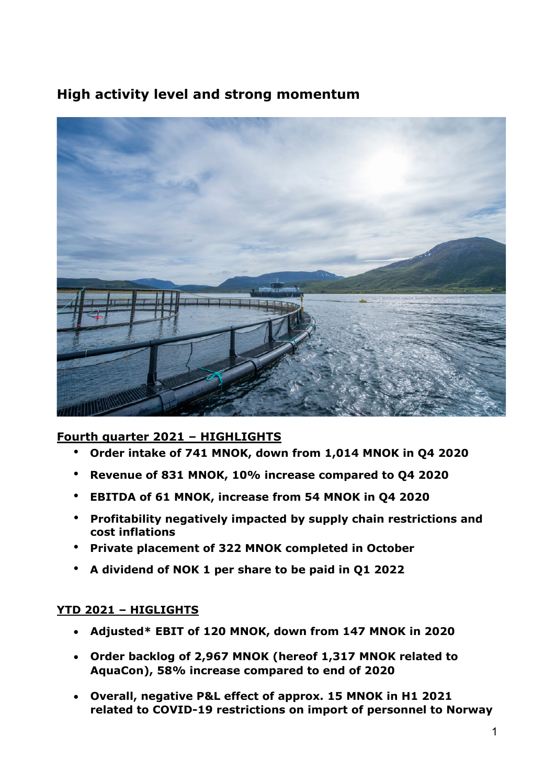# **High activity level and strong momentum**



# **Fourth quarter 2021 – HIGHLIGHTS**

- **Order intake of 741 MNOK, down from 1,014 MNOK in Q4 2020**
- **Revenue of 831 MNOK, 10% increase compared to Q4 2020**
- **EBITDA of 61 MNOK, increase from 54 MNOK in Q4 2020**
- **Profitability negatively impacted by supply chain restrictions and cost inflations**
- **Private placement of 322 MNOK completed in October**
- **A dividend of NOK 1 per share to be paid in Q1 2022**

# **YTD 2021 – HIGLIGHTS**

- **Adjusted\* EBIT of 120 MNOK, down from 147 MNOK in 2020**
- **Order backlog of 2,967 MNOK (hereof 1,317 MNOK related to AquaCon), 58% increase compared to end of 2020**
- **Overall, negative P&L effect of approx. 15 MNOK in H1 2021 related to COVID-19 restrictions on import of personnel to Norway**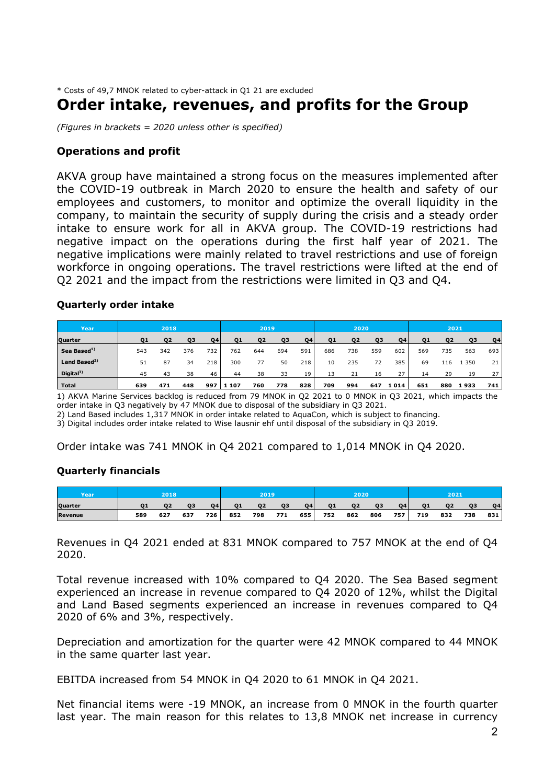\* Costs of 49,7 MNOK related to cyber-attack in Q1 21 are excluded

# **Order intake, revenues, and profits for the Group**

*(Figures in brackets = 2020 unless other is specified)* 

# **Operations and profit**

AKVA group have maintained a strong focus on the measures implemented after the COVID-19 outbreak in March 2020 to ensure the health and safety of our employees and customers, to monitor and optimize the overall liquidity in the company, to maintain the security of supply during the crisis and a steady order intake to ensure work for all in AKVA group. The COVID-19 restrictions had negative impact on the operations during the first half year of 2021. The negative implications were mainly related to travel restrictions and use of foreign workforce in ongoing operations. The travel restrictions were lifted at the end of Q2 2021 and the impact from the restrictions were limited in Q3 and Q4.

### **Quarterly order intake**

| Year                     |     | 2018           |           |           |                | 2019           |                |     |                | 2020           |     |           |     | 2021 |                |     |
|--------------------------|-----|----------------|-----------|-----------|----------------|----------------|----------------|-----|----------------|----------------|-----|-----------|-----|------|----------------|-----|
| Quarter                  | Q1  | O <sub>2</sub> | <b>Q3</b> | <b>Q4</b> | Q <sub>1</sub> | Q <sub>2</sub> | Q <sub>3</sub> | Q4  | Q <sub>1</sub> | Q <sub>2</sub> | Q3  | <b>Q4</b> | 01  | 02   | Q <sub>3</sub> | Q4  |
| Sea Based <sup>1)</sup>  | 543 | 342            | 376       | 732       | 762            | 644            | 694            | 591 | 686            | 738            | 559 | 602       | 569 | 735  | 563            | 693 |
| Land Based <sup>2)</sup> | 51  | 87             | 34        | 218       | 300            | 77             | 50             | 218 | 10             | 235            | 72  | 385       | 69  | 116  | 350            | 21  |
| Digital <sup>3</sup>     | 45  | 43             | 38        | 46        | 44             | 38             | 33             | 19  | 13             |                | 16  | 27        | 14  | 29   | 19             | 27  |
| <b>Total</b>             | 639 | 471            | 448       | 997       | 107<br>1       | 760            | 778            | 828 | 709            | 994            | 647 | 1014      | 651 | 880  | 1933           | 741 |

1) AKVA Marine Services backlog is reduced from 79 MNOK in Q2 2021 to 0 MNOK in Q3 2021, which impacts the order intake in Q3 negatively by 47 MNOK due to disposal of the subsidiary in Q3 2021.

2) Land Based includes 1,317 MNOK in order intake related to AquaCon, which is subject to financing.

3) Digital includes order intake related to Wise lausnir ehf until disposal of the subsidiary in Q3 2019.

Order intake was 741 MNOK in Q4 2021 compared to 1,014 MNOK in Q4 2020.

### **Quarterly financials**

| Year           |     | 2018           |     |                |                | 2019' |                |           |                | 2020 |     |           |     | 2021 |                |           |
|----------------|-----|----------------|-----|----------------|----------------|-------|----------------|-----------|----------------|------|-----|-----------|-----|------|----------------|-----------|
| Quarter        |     | O <sub>2</sub> | 03  | O <sub>4</sub> | O <sub>1</sub> | 02    | O <sub>3</sub> | <b>Q4</b> | O <sub>1</sub> | 02   | 03  | <b>04</b> | 01  | 02   | O <sub>3</sub> | <b>Q4</b> |
| <b>Revenue</b> | 589 | 627            | 637 | $726 -$        | 852            | 798   | 771            | 655       | 752            | 862  | 806 | 757       | 719 | 832  | 738            | 831       |

Revenues in Q4 2021 ended at 831 MNOK compared to 757 MNOK at the end of Q4 2020.

Total revenue increased with 10% compared to Q4 2020. The Sea Based segment experienced an increase in revenue compared to Q4 2020 of 12%, whilst the Digital and Land Based segments experienced an increase in revenues compared to Q4 2020 of 6% and 3%, respectively.

Depreciation and amortization for the quarter were 42 MNOK compared to 44 MNOK in the same quarter last year.

EBITDA increased from 54 MNOK in Q4 2020 to 61 MNOK in Q4 2021.

Net financial items were -19 MNOK, an increase from 0 MNOK in the fourth quarter last year. The main reason for this relates to 13,8 MNOK net increase in currency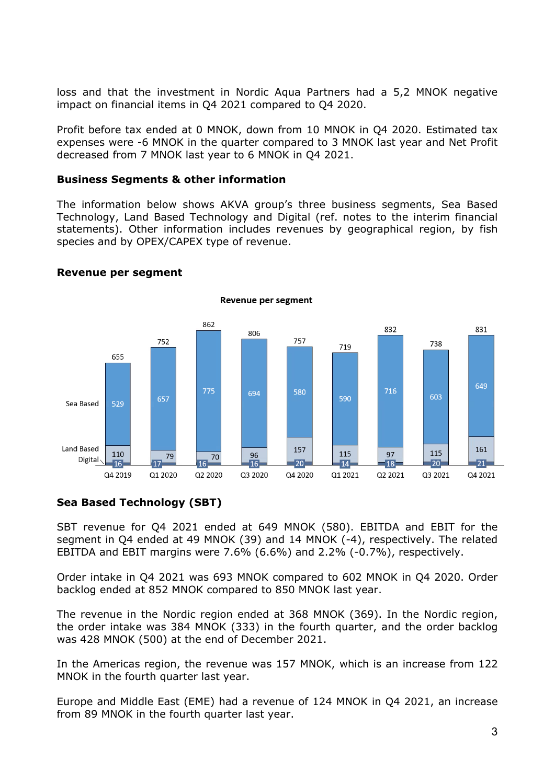loss and that the investment in Nordic Aqua Partners had a 5,2 MNOK negative impact on financial items in Q4 2021 compared to Q4 2020.

Profit before tax ended at 0 MNOK, down from 10 MNOK in Q4 2020. Estimated tax expenses were -6 MNOK in the quarter compared to 3 MNOK last year and Net Profit decreased from 7 MNOK last year to 6 MNOK in Q4 2021.

## **Business Segments & other information**

The information below shows AKVA group's three business segments, Sea Based Technology, Land Based Technology and Digital (ref. notes to the interim financial statements). Other information includes revenues by geographical region, by fish species and by OPEX/CAPEX type of revenue.



### **Revenue per segment**

# **Sea Based Technology (SBT)**

SBT revenue for Q4 2021 ended at 649 MNOK (580). EBITDA and EBIT for the segment in Q4 ended at 49 MNOK (39) and 14 MNOK (-4), respectively. The related EBITDA and EBIT margins were 7.6% (6.6%) and 2.2% (-0.7%), respectively.

Order intake in Q4 2021 was 693 MNOK compared to 602 MNOK in Q4 2020. Order backlog ended at 852 MNOK compared to 850 MNOK last year.

The revenue in the Nordic region ended at 368 MNOK (369). In the Nordic region, the order intake was 384 MNOK (333) in the fourth quarter, and the order backlog was 428 MNOK (500) at the end of December 2021.

In the Americas region, the revenue was 157 MNOK, which is an increase from 122 MNOK in the fourth quarter last year.

Europe and Middle East (EME) had a revenue of 124 MNOK in Q4 2021, an increase from 89 MNOK in the fourth quarter last year.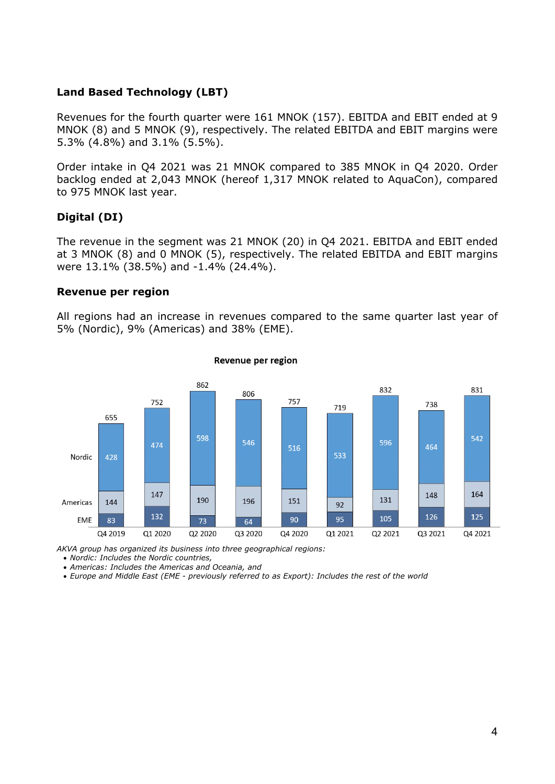# **Land Based Technology (LBT)**

Revenues for the fourth quarter were 161 MNOK (157). EBITDA and EBIT ended at 9 MNOK (8) and 5 MNOK (9), respectively. The related EBITDA and EBIT margins were 5.3% (4.8%) and 3.1% (5.5%).

Order intake in Q4 2021 was 21 MNOK compared to 385 MNOK in Q4 2020. Order backlog ended at 2,043 MNOK (hereof 1,317 MNOK related to AquaCon), compared to 975 MNOK last year.

# **Digital (DI)**

The revenue in the segment was 21 MNOK (20) in Q4 2021. EBITDA and EBIT ended at 3 MNOK (8) and 0 MNOK (5), respectively. The related EBITDA and EBIT margins were 13.1% (38.5%) and -1.4% (24.4%).

#### **Revenue per region**

All regions had an increase in revenues compared to the same quarter last year of 5% (Nordic), 9% (Americas) and 38% (EME).



#### Revenue per region

*AKVA group has organized its business into three geographical regions:* 

*Nordic: Includes the Nordic countries,* 

*Americas: Includes the Americas and Oceania, and* 

*Europe and Middle East (EME - previously referred to as Export): Includes the rest of the world*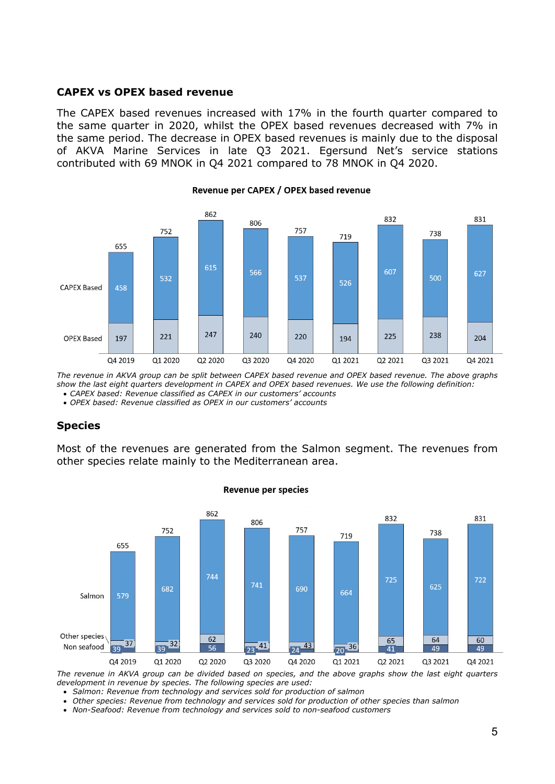### **CAPEX vs OPEX based revenue**

The CAPEX based revenues increased with 17% in the fourth quarter compared to the same quarter in 2020, whilst the OPEX based revenues decreased with 7% in the same period. The decrease in OPEX based revenues is mainly due to the disposal of AKVA Marine Services in late Q3 2021. Egersund Net's service stations contributed with 69 MNOK in Q4 2021 compared to 78 MNOK in Q4 2020.



## Revenue per CAPEX / OPEX based revenue

*The revenue in AKVA group can be split between CAPEX based revenue and OPEX based revenue. The above graphs show the last eight quarters development in CAPEX and OPEX based revenues. We use the following definition: CAPEX based: Revenue classified as CAPEX in our customers' accounts* 

*OPEX based: Revenue classified as OPEX in our customers' accounts* 

### **Species**

Most of the revenues are generated from the Salmon segment. The revenues from other species relate mainly to the Mediterranean area.



#### **Revenue per species**

*The revenue in AKVA group can be divided based on species, and the above graphs show the last eight quarters development in revenue by species. The following species are used:* 

 *Salmon: Revenue from technology and services sold for production of salmon* 

- *Other species: Revenue from technology and services sold for production of other species than salmon*
- *Non-Seafood: Revenue from technology and services sold to non-seafood customers*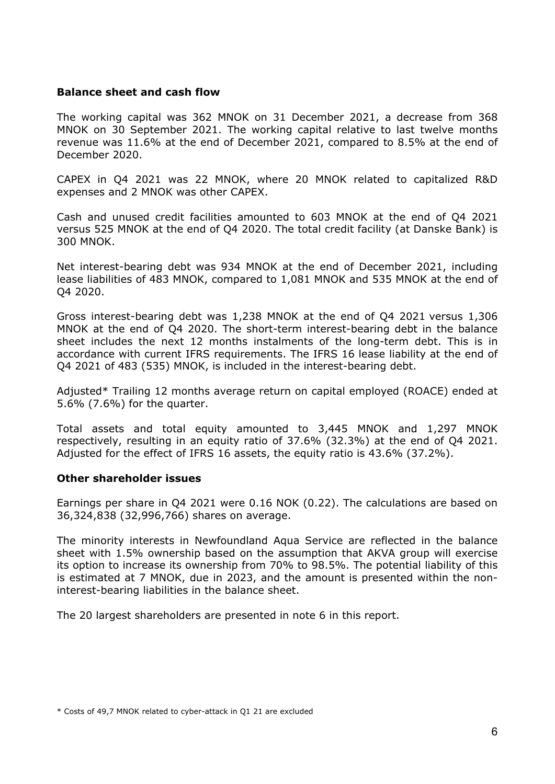## **Balance sheet and cash flow**

The working capital was 362 MNOK on 31 December 2021, a decrease from 368 MNOK on 30 September 2021. The working capital relative to last twelve months revenue was 11.6% at the end of December 2021, compared to 8.5% at the end of December 2020.

CAPEX in Q4 2021 was 22 MNOK, where 20 MNOK related to capitalized R&D expenses and 2 MNOK was other CAPEX.

Cash and unused credit facilities amounted to 603 MNOK at the end of Q4 2021 versus 525 MNOK at the end of Q4 2020. The total credit facility (at Danske Bank) is 300 MNOK.

Net interest-bearing debt was 934 MNOK at the end of December 2021, including lease liabilities of 483 MNOK, compared to 1,081 MNOK and 535 MNOK at the end of Q4 2020.

Gross interest-bearing debt was 1,238 MNOK at the end of Q4 2021 versus 1,306 MNOK at the end of Q4 2020. The short-term interest-bearing debt in the balance sheet includes the next 12 months instalments of the long-term debt. This is in accordance with current IFRS requirements. The IFRS 16 lease liability at the end of Q4 2021 of 483 (535) MNOK, is included in the interest-bearing debt.

Adjusted\* Trailing 12 months average return on capital employed (ROACE) ended at 5.6% (7.6%) for the quarter.

Total assets and total equity amounted to 3,445 MNOK and 1,297 MNOK respectively, resulting in an equity ratio of 37.6% (32.3%) at the end of Q4 2021. Adjusted for the effect of IFRS 16 assets, the equity ratio is 43.6% (37.2%).

### **Other shareholder issues**

Earnings per share in Q4 2021 were 0.16 NOK (0.22). The calculations are based on 36,324,838 (32,996,766) shares on average.

The minority interests in Newfoundland Aqua Service are reflected in the balance sheet with 1.5% ownership based on the assumption that AKVA group will exercise its option to increase its ownership from 70% to 98.5%. The potential liability of this is estimated at 7 MNOK, due in 2023, and the amount is presented within the noninterest-bearing liabilities in the balance sheet.

The 20 largest shareholders are presented in note 6 in this report.

<sup>\*</sup> Costs of 49,7 MNOK related to cyber-attack in Q1 21 are excluded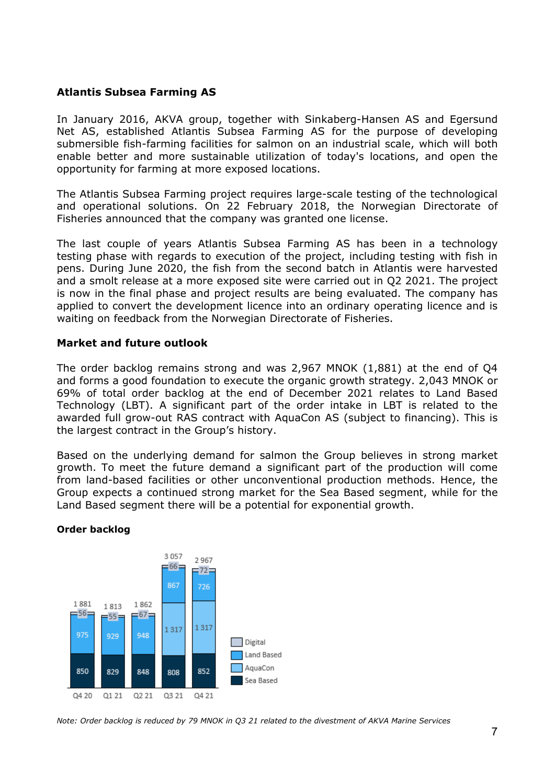# **Atlantis Subsea Farming AS**

In January 2016, AKVA group, together with Sinkaberg-Hansen AS and Egersund Net AS, established Atlantis Subsea Farming AS for the purpose of developing submersible fish-farming facilities for salmon on an industrial scale, which will both enable better and more sustainable utilization of today's locations, and open the opportunity for farming at more exposed locations.

The Atlantis Subsea Farming project requires large-scale testing of the technological and operational solutions. On 22 February 2018, the Norwegian Directorate of Fisheries announced that the company was granted one license.

The last couple of years Atlantis Subsea Farming AS has been in a technology testing phase with regards to execution of the project, including testing with fish in pens. During June 2020, the fish from the second batch in Atlantis were harvested and a smolt release at a more exposed site were carried out in Q2 2021. The project is now in the final phase and project results are being evaluated. The company has applied to convert the development licence into an ordinary operating licence and is waiting on feedback from the Norwegian Directorate of Fisheries.

# **Market and future outlook**

The order backlog remains strong and was 2,967 MNOK (1,881) at the end of Q4 and forms a good foundation to execute the organic growth strategy. 2,043 MNOK or 69% of total order backlog at the end of December 2021 relates to Land Based Technology (LBT). A significant part of the order intake in LBT is related to the awarded full grow-out RAS contract with AquaCon AS (subject to financing). This is the largest contract in the Group's history.

Based on the underlying demand for salmon the Group believes in strong market growth. To meet the future demand a significant part of the production will come from land-based facilities or other unconventional production methods. Hence, the Group expects a continued strong market for the Sea Based segment, while for the Land Based segment there will be a potential for exponential growth.



### **Order backlog**

*Note: Order backlog is reduced by 79 MNOK in Q3 21 related to the divestment of AKVA Marine Services*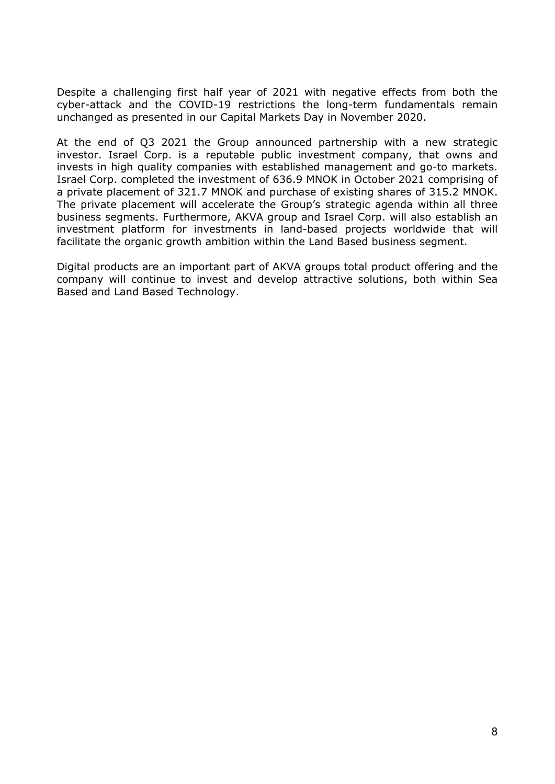Despite a challenging first half year of 2021 with negative effects from both the cyber-attack and the COVID-19 restrictions the long-term fundamentals remain unchanged as presented in our Capital Markets Day in November 2020.

At the end of Q3 2021 the Group announced partnership with a new strategic investor. Israel Corp. is a reputable public investment company, that owns and invests in high quality companies with established management and go-to markets. Israel Corp. completed the investment of 636.9 MNOK in October 2021 comprising of a private placement of 321.7 MNOK and purchase of existing shares of 315.2 MNOK. The private placement will accelerate the Group's strategic agenda within all three business segments. Furthermore, AKVA group and Israel Corp. will also establish an investment platform for investments in land-based projects worldwide that will facilitate the organic growth ambition within the Land Based business segment.

Digital products are an important part of AKVA groups total product offering and the company will continue to invest and develop attractive solutions, both within Sea Based and Land Based Technology.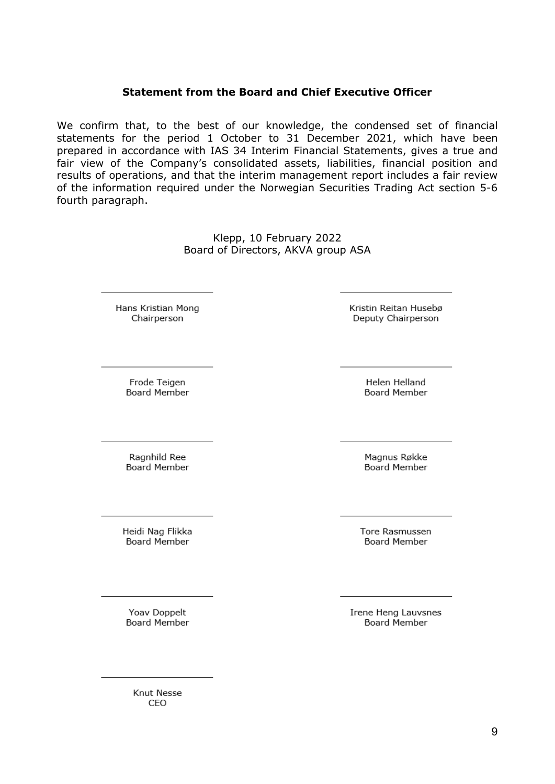# **Statement from the Board and Chief Executive Officer**

We confirm that, to the best of our knowledge, the condensed set of financial statements for the period 1 October to 31 December 2021, which have been prepared in accordance with IAS 34 Interim Financial Statements, gives a true and fair view of the Company's consolidated assets, liabilities, financial position and results of operations, and that the interim management report includes a fair review of the information required under the Norwegian Securities Trading Act section 5-6 fourth paragraph.

> Klepp, 10 February 2022 Board of Directors, AKVA group ASA

Hans Kristian Mong Chairperson

Kristin Reitan Husebø Deputy Chairperson

Helen Helland

**Board Member** 

Frode Teigen Board Member

Ragnhild Ree Board Member

Heidi Nag Flikka **Board Member** 

Magnus Røkke Board Member

**Tore Rasmussen Board Member** 

Yoav Doppelt **Board Member**  Irene Heng Lauvsnes **Board Member** 

Knut Nesse CEO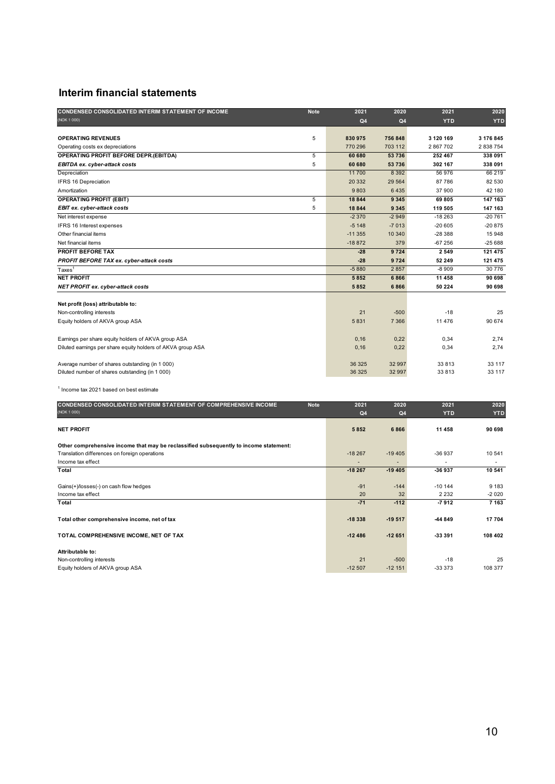# **Interim financial statements**

| (NOK 1 000)<br>Q4<br><b>YTD</b><br><b>YTD</b><br>Q <sub>4</sub><br>5<br><b>OPERATING REVENUES</b><br>830975<br>756 848<br>3 120 169<br>3 176 845<br>2838754<br>770 296<br>703 112<br>2867702<br>Operating costs ex depreciations<br>5<br>53736<br>338 091<br>OPERATING PROFIT BEFORE DEPR.(EBITDA)<br>60 680<br>252 467<br>5<br>60 680<br>302 167<br>338 091<br>53 736<br><b>EBITDA ex. cyber-attack costs</b><br>11700<br>8 3 9 2<br>56 976<br>66 219<br>Depreciation<br>87 786<br>IFRS 16 Depreciation<br>20 332<br>29 5 64<br>82 530<br>9803<br>6435<br>37 900<br>42 180<br>Amortization<br>5<br>18844<br>69805<br>147 163<br><b>OPERATING PROFIT (EBIT)</b><br>9 3 4 5<br>5<br>18844<br>147 163<br>9 3 4 5<br>119 505<br><b>EBIT ex. cyber-attack costs</b><br>$-2370$<br>$-18263$<br>$-20761$<br>$-2949$<br>Net interest expense<br>$-20605$<br>$-20875$<br>$-5148$<br>$-7013$<br>IFRS 16 Interest expenses<br>15948<br>Other financial items<br>$-11355$<br>10 340<br>$-28388$<br>Net financial items<br>$-18872$<br>379<br>$-67256$<br>$-25688$<br>PROFIT BEFORE TAX<br>9724<br>2 5 4 9<br>121 475<br>$-28$<br>PROFIT BEFORE TAX ex. cyber-attack costs<br>$-28$<br>9724<br>52 249<br>121 475<br>$-5880$<br>$-8909$<br>30776<br>2857<br>$Taxes$ <sup>1</sup><br><b>NET PROFIT</b><br>5852<br>11 458<br>90 698<br>6866<br>5852<br>6866<br>50 224<br>90 698<br>NET PROFIT ex. cyber-attack costs<br>Net profit (loss) attributable to:<br>21<br>$-18$<br>25<br>Non-controlling interests<br>$-500$<br>5831<br>11 4 7 6<br>90 674<br>Equity holders of AKVA group ASA<br>7 3 6 6<br>0,16<br>0,34<br>Earnings per share equity holders of AKVA group ASA<br>0,22<br>2,74<br>2,74<br>Diluted earnings per share equity holders of AKVA group ASA<br>0,16<br>0,22<br>0,34<br>Average number of shares outstanding (in 1 000)<br>36 325<br>32 997<br>33813<br>33 117<br>Diluted number of shares outstanding (in 1 000)<br>36 325<br>32 997<br>33813<br>33 117 | CONDENSED CONSOLIDATED INTERIM STATEMENT OF INCOME | <b>Note</b> | 2021 | 2020 | 2021 | 2020 |
|----------------------------------------------------------------------------------------------------------------------------------------------------------------------------------------------------------------------------------------------------------------------------------------------------------------------------------------------------------------------------------------------------------------------------------------------------------------------------------------------------------------------------------------------------------------------------------------------------------------------------------------------------------------------------------------------------------------------------------------------------------------------------------------------------------------------------------------------------------------------------------------------------------------------------------------------------------------------------------------------------------------------------------------------------------------------------------------------------------------------------------------------------------------------------------------------------------------------------------------------------------------------------------------------------------------------------------------------------------------------------------------------------------------------------------------------------------------------------------------------------------------------------------------------------------------------------------------------------------------------------------------------------------------------------------------------------------------------------------------------------------------------------------------------------------------------------------------------------------------------------------------------------------------------------------------------------------------|----------------------------------------------------|-------------|------|------|------|------|
|                                                                                                                                                                                                                                                                                                                                                                                                                                                                                                                                                                                                                                                                                                                                                                                                                                                                                                                                                                                                                                                                                                                                                                                                                                                                                                                                                                                                                                                                                                                                                                                                                                                                                                                                                                                                                                                                                                                                                                |                                                    |             |      |      |      |      |
|                                                                                                                                                                                                                                                                                                                                                                                                                                                                                                                                                                                                                                                                                                                                                                                                                                                                                                                                                                                                                                                                                                                                                                                                                                                                                                                                                                                                                                                                                                                                                                                                                                                                                                                                                                                                                                                                                                                                                                |                                                    |             |      |      |      |      |
|                                                                                                                                                                                                                                                                                                                                                                                                                                                                                                                                                                                                                                                                                                                                                                                                                                                                                                                                                                                                                                                                                                                                                                                                                                                                                                                                                                                                                                                                                                                                                                                                                                                                                                                                                                                                                                                                                                                                                                |                                                    |             |      |      |      |      |
|                                                                                                                                                                                                                                                                                                                                                                                                                                                                                                                                                                                                                                                                                                                                                                                                                                                                                                                                                                                                                                                                                                                                                                                                                                                                                                                                                                                                                                                                                                                                                                                                                                                                                                                                                                                                                                                                                                                                                                |                                                    |             |      |      |      |      |
|                                                                                                                                                                                                                                                                                                                                                                                                                                                                                                                                                                                                                                                                                                                                                                                                                                                                                                                                                                                                                                                                                                                                                                                                                                                                                                                                                                                                                                                                                                                                                                                                                                                                                                                                                                                                                                                                                                                                                                |                                                    |             |      |      |      |      |
|                                                                                                                                                                                                                                                                                                                                                                                                                                                                                                                                                                                                                                                                                                                                                                                                                                                                                                                                                                                                                                                                                                                                                                                                                                                                                                                                                                                                                                                                                                                                                                                                                                                                                                                                                                                                                                                                                                                                                                |                                                    |             |      |      |      |      |
|                                                                                                                                                                                                                                                                                                                                                                                                                                                                                                                                                                                                                                                                                                                                                                                                                                                                                                                                                                                                                                                                                                                                                                                                                                                                                                                                                                                                                                                                                                                                                                                                                                                                                                                                                                                                                                                                                                                                                                |                                                    |             |      |      |      |      |
|                                                                                                                                                                                                                                                                                                                                                                                                                                                                                                                                                                                                                                                                                                                                                                                                                                                                                                                                                                                                                                                                                                                                                                                                                                                                                                                                                                                                                                                                                                                                                                                                                                                                                                                                                                                                                                                                                                                                                                |                                                    |             |      |      |      |      |
|                                                                                                                                                                                                                                                                                                                                                                                                                                                                                                                                                                                                                                                                                                                                                                                                                                                                                                                                                                                                                                                                                                                                                                                                                                                                                                                                                                                                                                                                                                                                                                                                                                                                                                                                                                                                                                                                                                                                                                |                                                    |             |      |      |      |      |
|                                                                                                                                                                                                                                                                                                                                                                                                                                                                                                                                                                                                                                                                                                                                                                                                                                                                                                                                                                                                                                                                                                                                                                                                                                                                                                                                                                                                                                                                                                                                                                                                                                                                                                                                                                                                                                                                                                                                                                |                                                    |             |      |      |      |      |
|                                                                                                                                                                                                                                                                                                                                                                                                                                                                                                                                                                                                                                                                                                                                                                                                                                                                                                                                                                                                                                                                                                                                                                                                                                                                                                                                                                                                                                                                                                                                                                                                                                                                                                                                                                                                                                                                                                                                                                |                                                    |             |      |      |      |      |
|                                                                                                                                                                                                                                                                                                                                                                                                                                                                                                                                                                                                                                                                                                                                                                                                                                                                                                                                                                                                                                                                                                                                                                                                                                                                                                                                                                                                                                                                                                                                                                                                                                                                                                                                                                                                                                                                                                                                                                |                                                    |             |      |      |      |      |
|                                                                                                                                                                                                                                                                                                                                                                                                                                                                                                                                                                                                                                                                                                                                                                                                                                                                                                                                                                                                                                                                                                                                                                                                                                                                                                                                                                                                                                                                                                                                                                                                                                                                                                                                                                                                                                                                                                                                                                |                                                    |             |      |      |      |      |
|                                                                                                                                                                                                                                                                                                                                                                                                                                                                                                                                                                                                                                                                                                                                                                                                                                                                                                                                                                                                                                                                                                                                                                                                                                                                                                                                                                                                                                                                                                                                                                                                                                                                                                                                                                                                                                                                                                                                                                |                                                    |             |      |      |      |      |
|                                                                                                                                                                                                                                                                                                                                                                                                                                                                                                                                                                                                                                                                                                                                                                                                                                                                                                                                                                                                                                                                                                                                                                                                                                                                                                                                                                                                                                                                                                                                                                                                                                                                                                                                                                                                                                                                                                                                                                |                                                    |             |      |      |      |      |
|                                                                                                                                                                                                                                                                                                                                                                                                                                                                                                                                                                                                                                                                                                                                                                                                                                                                                                                                                                                                                                                                                                                                                                                                                                                                                                                                                                                                                                                                                                                                                                                                                                                                                                                                                                                                                                                                                                                                                                |                                                    |             |      |      |      |      |
|                                                                                                                                                                                                                                                                                                                                                                                                                                                                                                                                                                                                                                                                                                                                                                                                                                                                                                                                                                                                                                                                                                                                                                                                                                                                                                                                                                                                                                                                                                                                                                                                                                                                                                                                                                                                                                                                                                                                                                |                                                    |             |      |      |      |      |
|                                                                                                                                                                                                                                                                                                                                                                                                                                                                                                                                                                                                                                                                                                                                                                                                                                                                                                                                                                                                                                                                                                                                                                                                                                                                                                                                                                                                                                                                                                                                                                                                                                                                                                                                                                                                                                                                                                                                                                |                                                    |             |      |      |      |      |
|                                                                                                                                                                                                                                                                                                                                                                                                                                                                                                                                                                                                                                                                                                                                                                                                                                                                                                                                                                                                                                                                                                                                                                                                                                                                                                                                                                                                                                                                                                                                                                                                                                                                                                                                                                                                                                                                                                                                                                |                                                    |             |      |      |      |      |
|                                                                                                                                                                                                                                                                                                                                                                                                                                                                                                                                                                                                                                                                                                                                                                                                                                                                                                                                                                                                                                                                                                                                                                                                                                                                                                                                                                                                                                                                                                                                                                                                                                                                                                                                                                                                                                                                                                                                                                |                                                    |             |      |      |      |      |
|                                                                                                                                                                                                                                                                                                                                                                                                                                                                                                                                                                                                                                                                                                                                                                                                                                                                                                                                                                                                                                                                                                                                                                                                                                                                                                                                                                                                                                                                                                                                                                                                                                                                                                                                                                                                                                                                                                                                                                |                                                    |             |      |      |      |      |
|                                                                                                                                                                                                                                                                                                                                                                                                                                                                                                                                                                                                                                                                                                                                                                                                                                                                                                                                                                                                                                                                                                                                                                                                                                                                                                                                                                                                                                                                                                                                                                                                                                                                                                                                                                                                                                                                                                                                                                |                                                    |             |      |      |      |      |
|                                                                                                                                                                                                                                                                                                                                                                                                                                                                                                                                                                                                                                                                                                                                                                                                                                                                                                                                                                                                                                                                                                                                                                                                                                                                                                                                                                                                                                                                                                                                                                                                                                                                                                                                                                                                                                                                                                                                                                |                                                    |             |      |      |      |      |
|                                                                                                                                                                                                                                                                                                                                                                                                                                                                                                                                                                                                                                                                                                                                                                                                                                                                                                                                                                                                                                                                                                                                                                                                                                                                                                                                                                                                                                                                                                                                                                                                                                                                                                                                                                                                                                                                                                                                                                |                                                    |             |      |      |      |      |
|                                                                                                                                                                                                                                                                                                                                                                                                                                                                                                                                                                                                                                                                                                                                                                                                                                                                                                                                                                                                                                                                                                                                                                                                                                                                                                                                                                                                                                                                                                                                                                                                                                                                                                                                                                                                                                                                                                                                                                |                                                    |             |      |      |      |      |
|                                                                                                                                                                                                                                                                                                                                                                                                                                                                                                                                                                                                                                                                                                                                                                                                                                                                                                                                                                                                                                                                                                                                                                                                                                                                                                                                                                                                                                                                                                                                                                                                                                                                                                                                                                                                                                                                                                                                                                |                                                    |             |      |      |      |      |
|                                                                                                                                                                                                                                                                                                                                                                                                                                                                                                                                                                                                                                                                                                                                                                                                                                                                                                                                                                                                                                                                                                                                                                                                                                                                                                                                                                                                                                                                                                                                                                                                                                                                                                                                                                                                                                                                                                                                                                |                                                    |             |      |      |      |      |
|                                                                                                                                                                                                                                                                                                                                                                                                                                                                                                                                                                                                                                                                                                                                                                                                                                                                                                                                                                                                                                                                                                                                                                                                                                                                                                                                                                                                                                                                                                                                                                                                                                                                                                                                                                                                                                                                                                                                                                |                                                    |             |      |      |      |      |

1 Income tax 2021 based on best estimate

| CONDENSED CONSOLIDATED INTERIM STATEMENT OF COMPREHENSIVE INCOME                      | <b>Note</b> | 2021     | 2020           | 2021       | 2020       |
|---------------------------------------------------------------------------------------|-------------|----------|----------------|------------|------------|
| (NOK 1 000)                                                                           |             | Q4       | Q <sub>4</sub> | <b>YTD</b> | <b>YTD</b> |
| <b>NET PROFIT</b>                                                                     |             | 5852     | 6866           | 11 458     | 90 698     |
| Other comprehensive income that may be reclassified subsequently to income statement: |             |          |                |            |            |
| Translation differences on foreign operations                                         |             | $-18267$ | $-19405$       | $-36937$   | 10 541     |
| Income tax effect                                                                     |             |          |                |            | ٠          |
| Total                                                                                 |             | $-18267$ | $-19405$       | -36 937    | 10 541     |
| Gains(+)/losses(-) on cash flow hedges                                                |             | $-91$    | $-144$         | $-10144$   | 9 1 8 3    |
| Income tax effect                                                                     |             | 20       | 32             | 2 2 3 2    | $-2020$    |
| Total                                                                                 |             | $-71$    | $-112$         | $-7912$    | 7 1 6 3    |
| Total other comprehensive income, net of tax                                          |             | $-18338$ | $-19517$       | -44 849    | 17704      |
| TOTAL COMPREHENSIVE INCOME, NET OF TAX                                                |             | $-12486$ | $-12651$       | -33 391    | 108 402    |
| Attributable to:                                                                      |             |          |                |            |            |
| Non-controlling interests                                                             |             | 21       | $-500$         | $-18$      | 25         |
| Equity holders of AKVA group ASA                                                      |             | $-12507$ | $-12151$       | $-333373$  | 108 377    |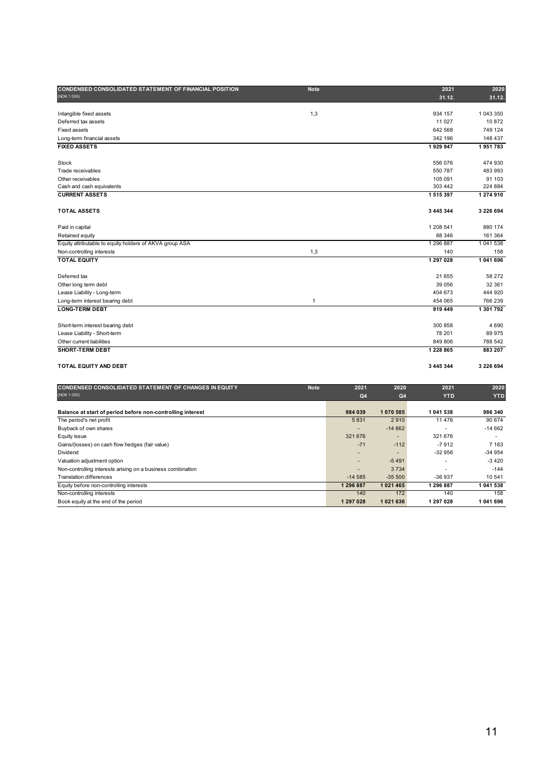| CONDENSED CONSOLIDATED STATEMENT OF FINANCIAL POSITION      | <b>Note</b>  |            |                | 2021                     | 2020          |
|-------------------------------------------------------------|--------------|------------|----------------|--------------------------|---------------|
| (NOK 1 000)                                                 |              |            |                | 31.12.                   | 31.12.        |
|                                                             |              |            |                |                          |               |
| Intangible fixed assets                                     | 1,3          |            |                | 934 157                  | 1 043 350     |
| Deferred tax assets                                         |              |            |                | 11 0 27                  | 10872         |
| Fixed assets                                                |              |            |                | 642 568                  | 749 124       |
| Long-term financial assets                                  |              |            |                | 342 196                  | 148 437       |
| <b>FIXED ASSETS</b>                                         |              |            |                | 1929947                  | 1951783       |
| Stock                                                       |              |            |                | 556 076                  | 474 930       |
| Trade receivables                                           |              |            |                | 550 787                  | 483 993       |
| Other receivables                                           |              |            |                | 105 091                  | 91 103        |
| Cash and cash equivalents                                   |              |            |                | 303 442                  | 224 884       |
| <b>CURRENT ASSETS</b>                                       |              |            |                | 1515397                  | 1 274 910     |
|                                                             |              |            |                |                          |               |
| <b>TOTAL ASSETS</b>                                         |              |            |                | 3 445 344                | 3 2 2 6 6 9 4 |
| Paid in capital                                             |              |            |                | 1 208 541                | 880 174       |
| Retained equity                                             |              |            |                | 88 346                   | 161 364       |
| Equity attributable to equity holders of AKVA group ASA     |              |            |                | 1 296 887                | 1041538       |
| Non-controlling interests                                   | 1,3          |            |                | 140                      | 158           |
| <b>TOTAL EQUITY</b>                                         |              |            |                | 1 297 028                | 1041696       |
| Deferred tax                                                |              |            |                | 21 655                   | 58 272        |
| Other long term debt                                        |              |            |                | 39 056                   | 32 361        |
| Lease Liability - Long-term                                 |              |            |                | 404 673                  | 444 920       |
| Long-term interest bearing debt                             | $\mathbf{1}$ |            |                | 454 065                  | 766 239       |
| <b>LONG-TERM DEBT</b>                                       |              |            |                | 919 449                  | 1 301 792     |
|                                                             |              |            |                |                          |               |
| Short-term interest bearing debt                            |              |            |                | 300 858                  | 4690          |
| Lease Liability - Short-term                                |              |            |                | 78 201                   | 89975         |
| Other current liabilities                                   |              |            |                | 849 806                  | 788 542       |
| SHORT-TERM DEBT                                             |              |            |                | 1 228 865                | 883 207       |
| TOTAL EQUITY AND DEBT                                       |              |            |                | 3 445 344                | 3 2 2 6 6 9 4 |
|                                                             |              |            |                |                          |               |
| CONDENSED CONSOLIDATED STATEMENT OF CHANGES IN EQUITY       | <b>Note</b>  | 2021       | 2020           | 2021                     | 2020          |
| (NOK 1 000)                                                 |              | Q4         | Q4             | <b>YTD</b>               | <b>YTD</b>    |
| Balance at start of period before non-controlling interest  |              | 984 039    | 1070 585       | 1 041 538                | 986 340       |
| The period's net profit                                     |              | 5831       | 2910           | 11 476                   | 90 674        |
| Buyback of own shares                                       |              |            | $-14662$       | $\overline{\phantom{a}}$ | $-14662$      |
| Equity issue                                                |              | 321 676    | $\overline{a}$ | 321 676                  | ÷             |
| Gains/(losses) on cash flow hedges (fair value)             |              | $-71$      | $-112$         | $-7912$                  | 7 1 6 3       |
| Dividend                                                    |              |            |                | $-32956$                 | $-34954$      |
| Valuation adjustment option                                 |              |            | $-5491$        | $\blacksquare$           | $-3420$       |
| Non-controlling interests arising on a business combination |              |            | 3734           | $\blacksquare$           | $-144$        |
| <b>Translation differences</b>                              |              | $-14585$   | $-35500$       | -36 937                  | 10541         |
| Equity before non-controlling interests                     |              | 1 296 887  | 1 0 2 1 4 6 5  | 1 296 887                | 1 041 538     |
| Non-controlling interests                                   |              | 140        | 172            | 140                      | 158           |
| Book equity at the end of the period                        |              | 1 297 0 28 | 1021636        | 1 297 0 28               | 1 041 696     |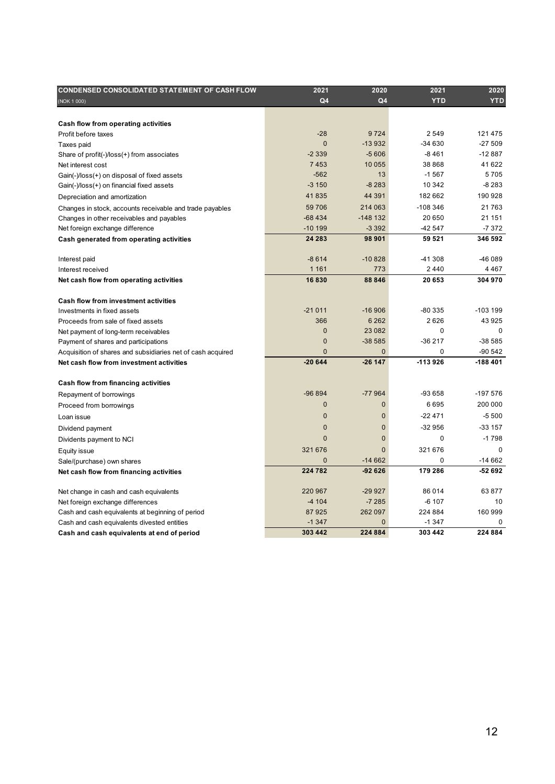| <b>CONDENSED CONSOLIDATED STATEMENT OF CASH FLOW</b>        | 2021           | 2020           | 2021       | 2020       |
|-------------------------------------------------------------|----------------|----------------|------------|------------|
| (NOK 1 000)                                                 | Q4             | Q4             | <b>YTD</b> | <b>YTD</b> |
|                                                             |                |                |            |            |
| Cash flow from operating activities                         |                |                |            |            |
| Profit before taxes                                         | $-28$          | 9724           | 2 5 4 9    | 121 475    |
| Taxes paid                                                  | $\Omega$       | $-13932$       | $-34630$   | $-27.509$  |
| Share of profit(-)/loss(+) from associates                  | $-2339$        | $-5606$        | $-8461$    | $-12887$   |
| Net interest cost                                           | 7 4 5 3        | 10 0 55        | 38 868     | 41 622     |
| Gain(-)/loss(+) on disposal of fixed assets                 | $-562$         | 13             | $-1567$    | 5705       |
| Gain(-)/loss(+) on financial fixed assets                   | $-3150$        | $-8283$        | 10 342     | $-8283$    |
| Depreciation and amortization                               | 41835          | 44 391         | 182 662    | 190 928    |
| Changes in stock, accounts receivable and trade payables    | 59 706         | 214 063        | $-108346$  | 21763      |
| Changes in other receivables and payables                   | $-68434$       | $-148132$      | 20 650     | 21 151     |
| Net foreign exchange difference                             | -10 199        | $-3392$        | -42 547    | -7 372     |
| Cash generated from operating activities                    | 24 283         | 98 901         | 59 521     | 346 592    |
|                                                             |                |                |            |            |
| Interest paid                                               | $-8614$        | $-10828$       | $-41308$   | -46 089    |
| Interest received                                           | 1 1 6 1        | 773            | 2440       | 4 4 6 7    |
| Net cash flow from operating activities                     | 16830          | 88 846         | 20 653     | 304 970    |
|                                                             |                |                |            |            |
| <b>Cash flow from investment activities</b>                 |                |                |            |            |
| Investments in fixed assets                                 | $-21011$       | $-16906$       | -80 335    | $-103199$  |
| Proceeds from sale of fixed assets                          | 366            | 6 2 6 2        | 2626       | 43 925     |
| Net payment of long-term receivables                        | $\overline{0}$ | 23 082         | 0          | $\Omega$   |
| Payment of shares and participations                        | $\overline{0}$ | $-38585$       | $-36217$   | $-38585$   |
| Acquisition of shares and subsidiaries net of cash acquired | $\overline{0}$ | $\mathbf 0$    | 0          | -90 542    |
| Net cash flow from investment activities                    | $-20644$       | $-26147$       | $-113926$  | $-188401$  |
| Cash flow from financing activities                         |                |                |            |            |
| Repayment of borrowings                                     | -96 894        | $-77964$       | -93 658    | -197 576   |
| Proceed from borrowings                                     | $\overline{0}$ | $\mathbf{0}$   | 6695       | 200 000    |
| Loan issue                                                  | $\overline{0}$ | $\mathbf 0$    | $-22471$   | -5 500     |
| Dividend payment                                            | $\overline{0}$ | $\mathbf{0}$   | $-32956$   | $-33157$   |
| Dividents payment to NCI                                    | $\overline{0}$ | $\overline{0}$ | 0          | $-1798$    |
| Equity issue                                                | 321 676        | $\Omega$       | 321 676    | $\Omega$   |
| Sale/(purchase) own shares                                  | $\overline{0}$ | $-14662$       | 0          | $-14662$   |
| Net cash flow from financing activities                     | 224 782        | $-92626$       | 179 286    | -52 692    |
|                                                             |                |                |            |            |
| Net change in cash and cash equivalents                     | 220 967        | $-29927$       | 86 014     | 63 877     |
| Net foreign exchange differences                            | $-4104$        | $-7285$        | $-6107$    | 10         |
| Cash and cash equivalents at beginning of period            | 87925          | 262 097        | 224 884    | 160 999    |
| Cash and cash equivalents divested entities                 | $-1347$        | $\mathbf{0}$   | $-1347$    | 0          |
| Cash and cash equivalents at end of period                  | 303 442        | 224 884        | 303 442    | 224 884    |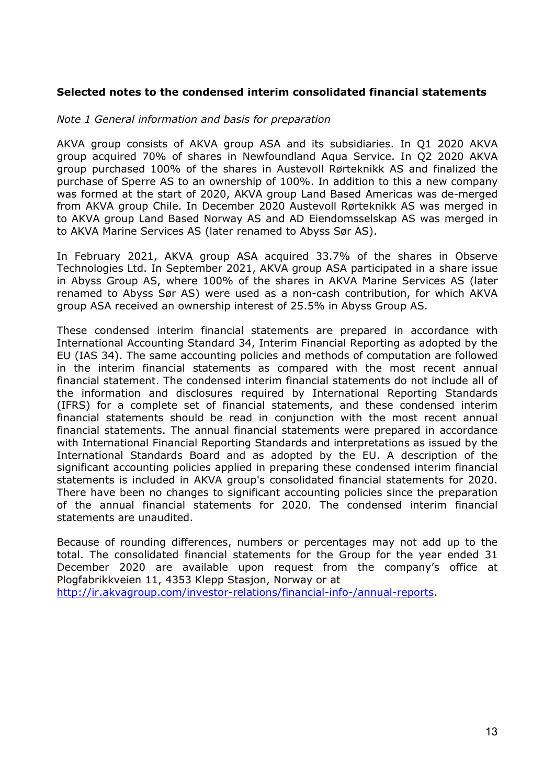# **Selected notes to the condensed interim consolidated financial statements**

#### *Note 1 General information and basis for preparation*

AKVA group consists of AKVA group ASA and its subsidiaries. In Q1 2020 AKVA group acquired 70% of shares in Newfoundland Aqua Service. In Q2 2020 AKVA group purchased 100% of the shares in Austevoll Rørteknikk AS and finalized the purchase of Sperre AS to an ownership of 100%. In addition to this a new company was formed at the start of 2020, AKVA group Land Based Americas was de-merged from AKVA group Chile. In December 2020 Austevoll Rørteknikk AS was merged in to AKVA group Land Based Norway AS and AD Eiendomsselskap AS was merged in to AKVA Marine Services AS (later renamed to Abyss Sør AS).

In February 2021, AKVA group ASA acquired 33.7% of the shares in Observe Technologies Ltd. In September 2021, AKVA group ASA participated in a share issue in Abyss Group AS, where 100% of the shares in AKVA Marine Services AS (later renamed to Abyss Sør AS) were used as a non-cash contribution, for which AKVA group ASA received an ownership interest of 25.5% in Abyss Group AS.

These condensed interim financial statements are prepared in accordance with International Accounting Standard 34, Interim Financial Reporting as adopted by the EU (IAS 34). The same accounting policies and methods of computation are followed in the interim financial statements as compared with the most recent annual financial statement. The condensed interim financial statements do not include all of the information and disclosures required by International Reporting Standards (IFRS) for a complete set of financial statements, and these condensed interim financial statements should be read in conjunction with the most recent annual financial statements. The annual financial statements were prepared in accordance with International Financial Reporting Standards and interpretations as issued by the International Standards Board and as adopted by the EU. A description of the significant accounting policies applied in preparing these condensed interim financial statements is included in AKVA group's consolidated financial statements for 2020. There have been no changes to significant accounting policies since the preparation of the annual financial statements for 2020. The condensed interim financial statements are unaudited.

Because of rounding differences, numbers or percentages may not add up to the total. The consolidated financial statements for the Group for the year ended 31 December 2020 are available upon request from the company's office at Plogfabrikkveien 11, 4353 Klepp Stasjon, Norway or at http://ir.akvagroup.com/investor-relations/financial-info-/annual-reports.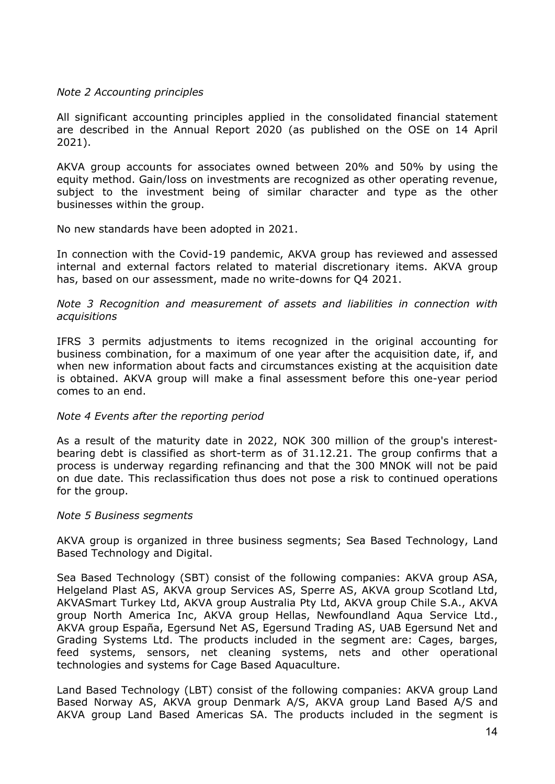# *Note 2 Accounting principles*

All significant accounting principles applied in the consolidated financial statement are described in the Annual Report 2020 (as published on the OSE on 14 April 2021).

AKVA group accounts for associates owned between 20% and 50% by using the equity method. Gain/loss on investments are recognized as other operating revenue, subject to the investment being of similar character and type as the other businesses within the group.

No new standards have been adopted in 2021.

In connection with the Covid-19 pandemic, AKVA group has reviewed and assessed internal and external factors related to material discretionary items. AKVA group has, based on our assessment, made no write-downs for Q4 2021.

# *Note 3 Recognition and measurement of assets and liabilities in connection with acquisitions*

IFRS 3 permits adjustments to items recognized in the original accounting for business combination, for a maximum of one year after the acquisition date, if, and when new information about facts and circumstances existing at the acquisition date is obtained. AKVA group will make a final assessment before this one-year period comes to an end.

### *Note 4 Events after the reporting period*

As a result of the maturity date in 2022, NOK 300 million of the group's interestbearing debt is classified as short-term as of 31.12.21. The group confirms that a process is underway regarding refinancing and that the 300 MNOK will not be paid on due date. This reclassification thus does not pose a risk to continued operations for the group.

### *Note 5 Business segments*

AKVA group is organized in three business segments; Sea Based Technology, Land Based Technology and Digital.

Sea Based Technology (SBT) consist of the following companies: AKVA group ASA, Helgeland Plast AS, AKVA group Services AS, Sperre AS, AKVA group Scotland Ltd, AKVASmart Turkey Ltd, AKVA group Australia Pty Ltd, AKVA group Chile S.A., AKVA group North America Inc, AKVA group Hellas, Newfoundland Aqua Service Ltd., AKVA group España, Egersund Net AS, Egersund Trading AS, UAB Egersund Net and Grading Systems Ltd. The products included in the segment are: Cages, barges, feed systems, sensors, net cleaning systems, nets and other operational technologies and systems for Cage Based Aquaculture.

Land Based Technology (LBT) consist of the following companies: AKVA group Land Based Norway AS, AKVA group Denmark A/S, AKVA group Land Based A/S and AKVA group Land Based Americas SA. The products included in the segment is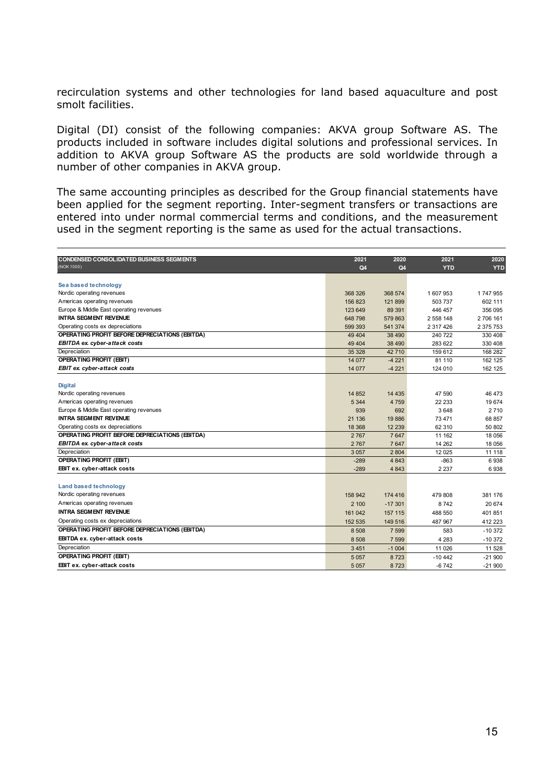recirculation systems and other technologies for land based aquaculture and post smolt facilities.

Digital (DI) consist of the following companies: AKVA group Software AS. The products included in software includes digital solutions and professional services. In addition to AKVA group Software AS the products are sold worldwide through a number of other companies in AKVA group.

The same accounting principles as described for the Group financial statements have been applied for the segment reporting. Inter-segment transfers or transactions are entered into under normal commercial terms and conditions, and the measurement used in the segment reporting is the same as used for the actual transactions.

| (NOK 1000)<br>Q4<br>Q4<br><b>YTD</b><br>Sea based technology<br>Nordic operating revenues<br>368 574<br>368 326<br>1 607 953<br>Americas operating revenues<br>156 823<br>121899<br>503 737<br>Europe & Middle East operating revenues<br>123 649<br>89 391<br>446 457 | <b>INTRA SEGMENT REVENUE</b><br>Operating costs ex depreciations<br>OPERATING PROFIT BEFORE DEPRECIATIONS (EBITDA)<br>EBITDA ex. cyber-attack costs | 648798<br>599 393 | 579863<br>541 374 | 2 558 148 | <b>YTD</b><br>1747955<br>602 111<br>356 095<br>2706161 |
|------------------------------------------------------------------------------------------------------------------------------------------------------------------------------------------------------------------------------------------------------------------------|-----------------------------------------------------------------------------------------------------------------------------------------------------|-------------------|-------------------|-----------|--------------------------------------------------------|
|                                                                                                                                                                                                                                                                        |                                                                                                                                                     |                   |                   |           |                                                        |
|                                                                                                                                                                                                                                                                        |                                                                                                                                                     |                   |                   |           |                                                        |
|                                                                                                                                                                                                                                                                        |                                                                                                                                                     |                   |                   |           |                                                        |
|                                                                                                                                                                                                                                                                        |                                                                                                                                                     |                   |                   |           |                                                        |
|                                                                                                                                                                                                                                                                        |                                                                                                                                                     |                   |                   |           |                                                        |
|                                                                                                                                                                                                                                                                        |                                                                                                                                                     |                   |                   |           |                                                        |
|                                                                                                                                                                                                                                                                        |                                                                                                                                                     |                   |                   |           |                                                        |
| 2 317 426                                                                                                                                                                                                                                                              |                                                                                                                                                     |                   |                   |           | 2 375 753                                              |
| 49 4 04<br>38 490<br>240 722                                                                                                                                                                                                                                           |                                                                                                                                                     |                   |                   |           | 330 408                                                |
| 49 4 04<br>38 490<br>283 622                                                                                                                                                                                                                                           |                                                                                                                                                     |                   |                   |           | 330 408                                                |
| Depreciation<br>35 328<br>42710<br>159 612                                                                                                                                                                                                                             |                                                                                                                                                     |                   |                   |           | 168 282                                                |
| <b>OPERATING PROFIT (EBIT)</b><br>14 077<br>$-4221$<br>81 110                                                                                                                                                                                                          |                                                                                                                                                     |                   |                   |           | 162 125                                                |
| EBIT ex. cyber-attack costs<br>14 077<br>$-4221$<br>124 010                                                                                                                                                                                                            |                                                                                                                                                     |                   |                   |           | 162 125                                                |
| <b>Digital</b>                                                                                                                                                                                                                                                         |                                                                                                                                                     |                   |                   |           |                                                        |
| Nordic operating revenues<br>14 852<br>14 4 35<br>47 590                                                                                                                                                                                                               |                                                                                                                                                     |                   |                   |           | 46 473                                                 |
| Americas operating revenues<br>5 3 4 4<br>4759<br>22 233                                                                                                                                                                                                               |                                                                                                                                                     |                   |                   |           | 19674                                                  |
| Europe & Middle East operating revenues<br>939<br>692<br>3648                                                                                                                                                                                                          |                                                                                                                                                     |                   |                   |           | 2710                                                   |
| <b>INTRA SEGMENT REVENUE</b><br>21 136<br>19886<br>73 471                                                                                                                                                                                                              |                                                                                                                                                     |                   |                   |           | 68 857                                                 |
| Operating costs ex depreciations<br>18 3 68<br>12 2 39<br>62 310                                                                                                                                                                                                       |                                                                                                                                                     |                   |                   |           | 50 802                                                 |
| OPERATING PROFIT BEFORE DEPRECIATIONS (EBITDA)<br>2767<br>7647<br>11 162                                                                                                                                                                                               |                                                                                                                                                     |                   |                   |           | 18 0 56                                                |
| EBITDA ex. cyber-attack costs<br>2767<br>7647<br>14 26 2                                                                                                                                                                                                               |                                                                                                                                                     |                   |                   |           | 18 0 56                                                |
| Depreciation<br>3 0 5 7<br>2 8 0 4<br>12 0 25                                                                                                                                                                                                                          |                                                                                                                                                     |                   |                   |           | 11 118                                                 |
| <b>OPERATING PROFIT (EBIT)</b><br>$-289$<br>4843<br>$-863$                                                                                                                                                                                                             |                                                                                                                                                     |                   |                   |           | 6938                                                   |
| EBIT ex. cyber-attack costs<br>$-289$<br>4843<br>2 2 3 7                                                                                                                                                                                                               |                                                                                                                                                     |                   |                   |           | 6938                                                   |
|                                                                                                                                                                                                                                                                        |                                                                                                                                                     |                   |                   |           |                                                        |
| <b>Land based technology</b>                                                                                                                                                                                                                                           |                                                                                                                                                     |                   |                   |           |                                                        |
| Nordic operating revenues<br>158 942<br>174 416<br>479 808                                                                                                                                                                                                             |                                                                                                                                                     |                   |                   |           | 381 176                                                |
| Americas operating revenues<br>8742<br>2 100<br>$-17301$                                                                                                                                                                                                               |                                                                                                                                                     |                   |                   |           | 20 674                                                 |
| <b>INTRA SEGMENT REVENUE</b><br>161 042<br>157 115<br>488 550                                                                                                                                                                                                          |                                                                                                                                                     |                   |                   |           | 401851                                                 |
| Operating costs ex depreciations<br>152 535<br>149 516<br>487 967                                                                                                                                                                                                      |                                                                                                                                                     |                   |                   |           | 412 223                                                |
| OPERATING PROFIT BEFORE DEPRECIATIONS (EBITDA)<br>8 5 0 8<br>7 5 9 9<br>583                                                                                                                                                                                            |                                                                                                                                                     |                   |                   |           | $-10372$                                               |
| EBITDA ex. cyber-attack costs<br>8 5 0 8<br>7 5 9 9<br>4 2 8 3                                                                                                                                                                                                         |                                                                                                                                                     |                   |                   |           | $-10372$                                               |
| Depreciation<br>3451<br>$-1004$<br>11 0 26                                                                                                                                                                                                                             |                                                                                                                                                     |                   |                   |           | 11 528                                                 |
| <b>OPERATING PROFIT (EBIT)</b><br>5 0 5 7<br>8723<br>$-10442$                                                                                                                                                                                                          |                                                                                                                                                     |                   |                   |           | $-21900$                                               |
| EBIT ex. cyber-attack costs<br>8723<br>$-6742$<br>$-21900$<br>5057                                                                                                                                                                                                     |                                                                                                                                                     |                   |                   |           |                                                        |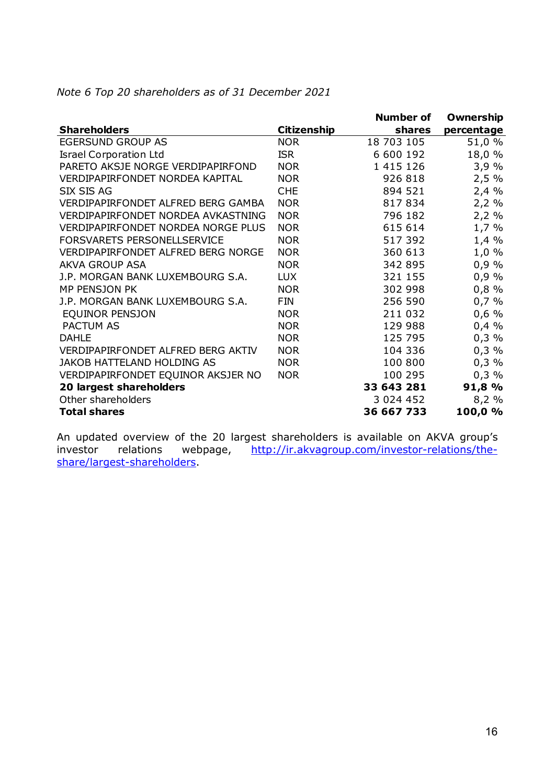|                                           |                    | <b>Number of</b> | <b>Ownership</b> |
|-------------------------------------------|--------------------|------------------|------------------|
| <b>Shareholders</b>                       | <b>Citizenship</b> | shares           | percentage       |
| <b>EGERSUND GROUP AS</b>                  | <b>NOR</b>         | 18 703 105       | 51,0 %           |
| <b>Israel Corporation Ltd</b>             | <b>ISR</b>         | 6 600 192        | 18,0 %           |
| PARETO AKSJE NORGE VERDIPAPIRFOND         | <b>NOR</b>         | 1 415 126        | 3,9%             |
| <b>VERDIPAPIRFONDET NORDEA KAPITAL</b>    | <b>NOR</b>         | 926 818          | 2,5%             |
| SIX SIS AG                                | <b>CHE</b>         | 894 521          | 2,4%             |
| VERDIPAPIRFONDET ALFRED BERG GAMBA        | <b>NOR</b>         | 817834           | 2,2%             |
| <b>VERDIPAPIRFONDET NORDEA AVKASTNING</b> | <b>NOR</b>         | 796 182          | 2,2%             |
| <b>VERDIPAPIRFONDET NORDEA NORGE PLUS</b> | <b>NOR</b>         | 615 614          | 1,7 %            |
| FORSVARETS PERSONELLSERVICE               | <b>NOR</b>         | 517 392          | 1,4%             |
| <b>VERDIPAPIRFONDET ALFRED BERG NORGE</b> | <b>NOR</b>         | 360 613          | $1,0\%$          |
| <b>AKVA GROUP ASA</b>                     | <b>NOR</b>         | 342 895          | 0,9%             |
| J.P. MORGAN BANK LUXEMBOURG S.A.          | <b>LUX</b>         | 321 155          | 0,9%             |
| MP PENSJON PK                             | <b>NOR</b>         | 302 998          | 0,8%             |
| J.P. MORGAN BANK LUXEMBOURG S.A.          | <b>FIN</b>         | 256 590          | 0,7%             |
| EQUINOR PENSJON                           | <b>NOR</b>         | 211 032          | $0,6\%$          |
| <b>PACTUM AS</b>                          | <b>NOR</b>         | 129 988          | 0,4%             |
| <b>DAHLE</b>                              | <b>NOR</b>         | 125 795          | 0,3%             |
| VERDIPAPIRFONDET ALFRED BERG AKTIV        | <b>NOR</b>         | 104 336          | 0,3%             |
| <b>JAKOB HATTELAND HOLDING AS</b>         | <b>NOR</b>         | 100 800          | 0,3%             |
| VERDIPAPIRFONDET EQUINOR AKSJER NO        | <b>NOR</b>         | 100 295          | 0,3%             |
| 20 largest shareholders                   |                    | 33 643 281       | 91,8 %           |
| Other shareholders                        |                    | 3 0 24 4 5 2     | 8,2%             |
| <b>Total shares</b>                       |                    | 36 667 733       | 100,0 %          |

*Note 6 Top 20 shareholders as of 31 December 2021* 

An updated overview of the 20 largest shareholders is available on AKVA group's investor relations webpage, http://ir.akvagroup.com/investor-relations/theinvestor relations webpage, http://ir.akvagroup.com/investor-relations/theshare/largest-shareholders.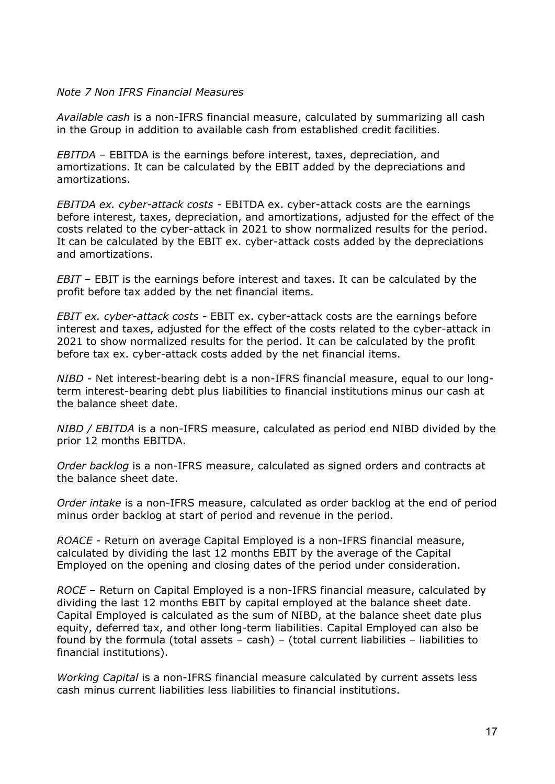# *Note 7 Non IFRS Financial Measures*

*Available cash* is a non-IFRS financial measure, calculated by summarizing all cash in the Group in addition to available cash from established credit facilities.

*EBITDA* – EBITDA is the earnings before interest, taxes, depreciation, and amortizations. It can be calculated by the EBIT added by the depreciations and amortizations.

*EBITDA ex. cyber-attack costs -* EBITDA ex. cyber-attack costs are the earnings before interest, taxes, depreciation, and amortizations, adjusted for the effect of the costs related to the cyber-attack in 2021 to show normalized results for the period. It can be calculated by the EBIT ex. cyber-attack costs added by the depreciations and amortizations.

*EBIT* – EBIT is the earnings before interest and taxes. It can be calculated by the profit before tax added by the net financial items.

*EBIT ex. cyber-attack costs -* EBIT ex. cyber-attack costs are the earnings before interest and taxes, adjusted for the effect of the costs related to the cyber-attack in 2021 to show normalized results for the period. It can be calculated by the profit before tax ex. cyber-attack costs added by the net financial items.

*NIBD -* Net interest-bearing debt is a non-IFRS financial measure, equal to our longterm interest-bearing debt plus liabilities to financial institutions minus our cash at the balance sheet date.

*NIBD / EBITDA* is a non-IFRS measure, calculated as period end NIBD divided by the prior 12 months EBITDA.

*Order backlog* is a non-IFRS measure, calculated as signed orders and contracts at the balance sheet date.

*Order intake* is a non-IFRS measure, calculated as order backlog at the end of period minus order backlog at start of period and revenue in the period.

*ROACE -* Return on average Capital Employed is a non-IFRS financial measure, calculated by dividing the last 12 months EBIT by the average of the Capital Employed on the opening and closing dates of the period under consideration.

*ROCE* – Return on Capital Employed is a non-IFRS financial measure, calculated by dividing the last 12 months EBIT by capital employed at the balance sheet date. Capital Employed is calculated as the sum of NIBD, at the balance sheet date plus equity, deferred tax, and other long-term liabilities. Capital Employed can also be found by the formula (total assets  $-$  cash)  $-$  (total current liabilities  $-$  liabilities to financial institutions).

*Working Capital* is a non-IFRS financial measure calculated by current assets less cash minus current liabilities less liabilities to financial institutions.